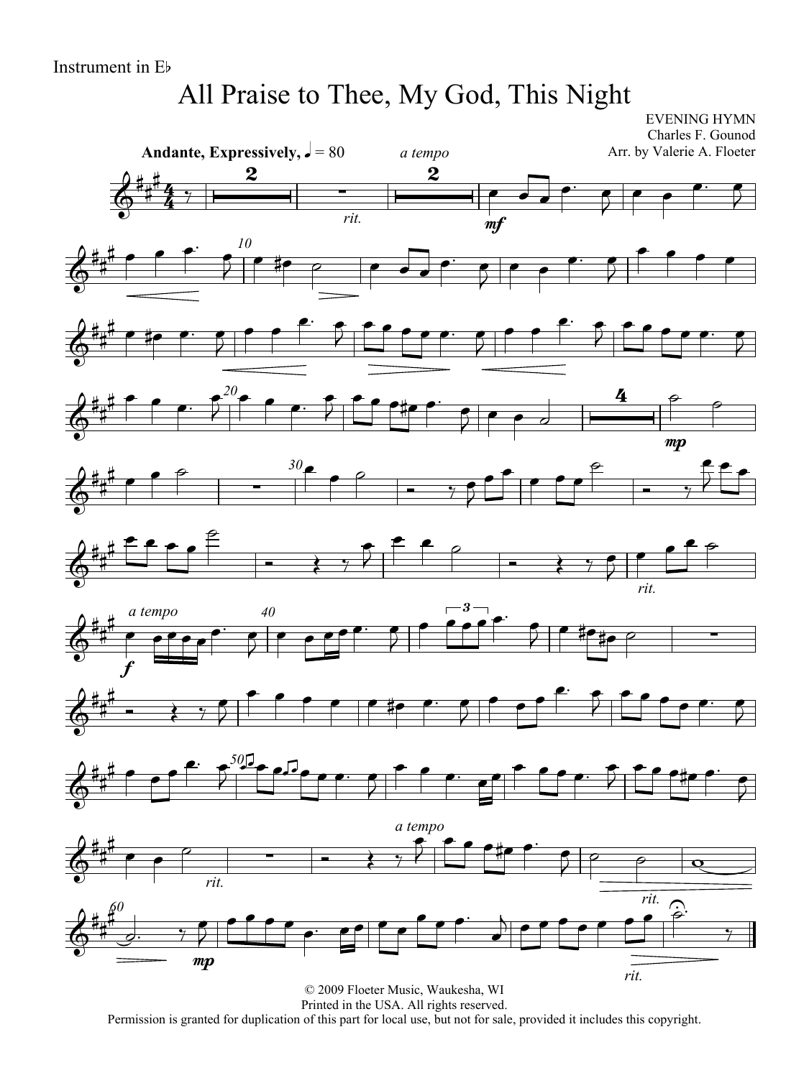# All Praise to Thee, My God, This Night

EVENING HYMN

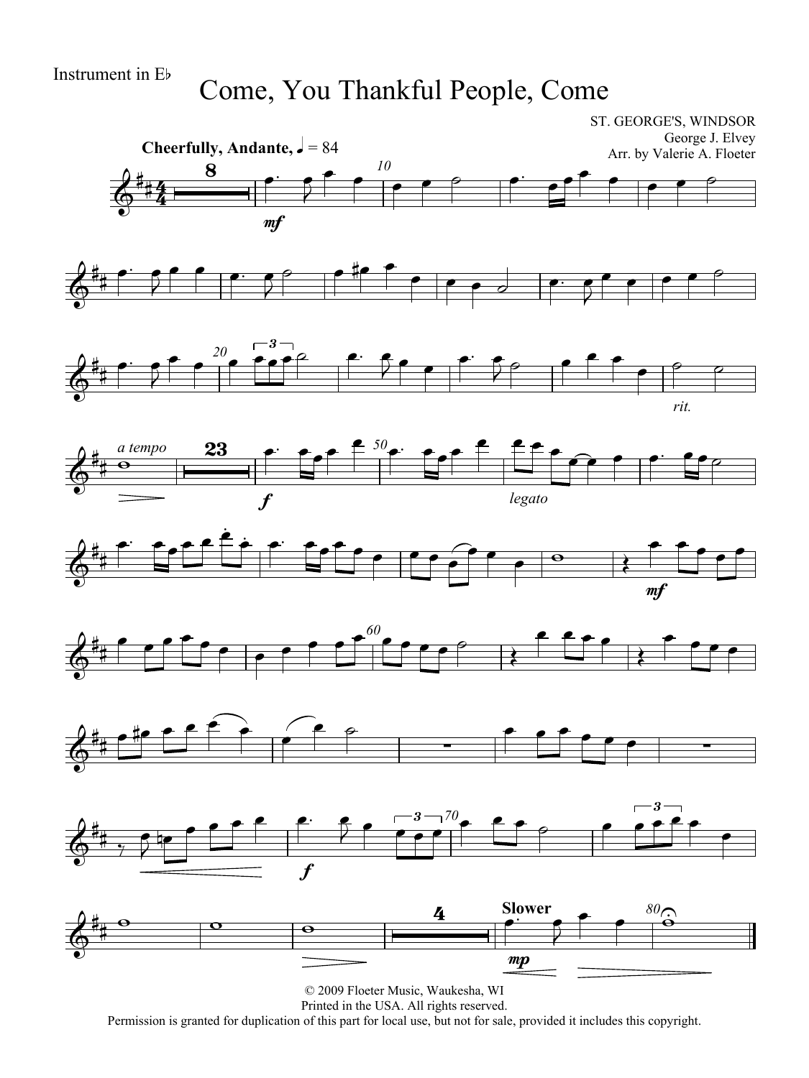Come, You Thankful People, Come



Printed in the USA. All rights reserved.

Permission is granted for duplication of this part for local use, but not for sale, provided it includes this copyright.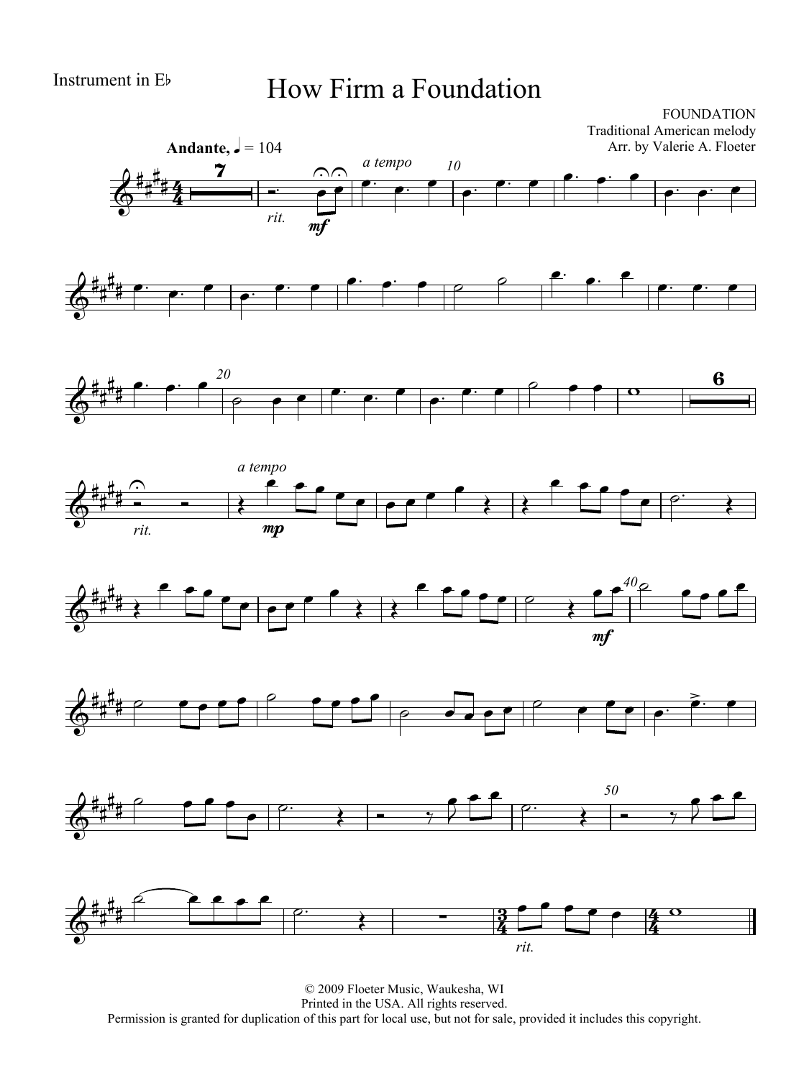# Instrument in Eb How Firm a Foundation

FOUNDATION Traditional American melody Arr. by Valerie A. Floeter















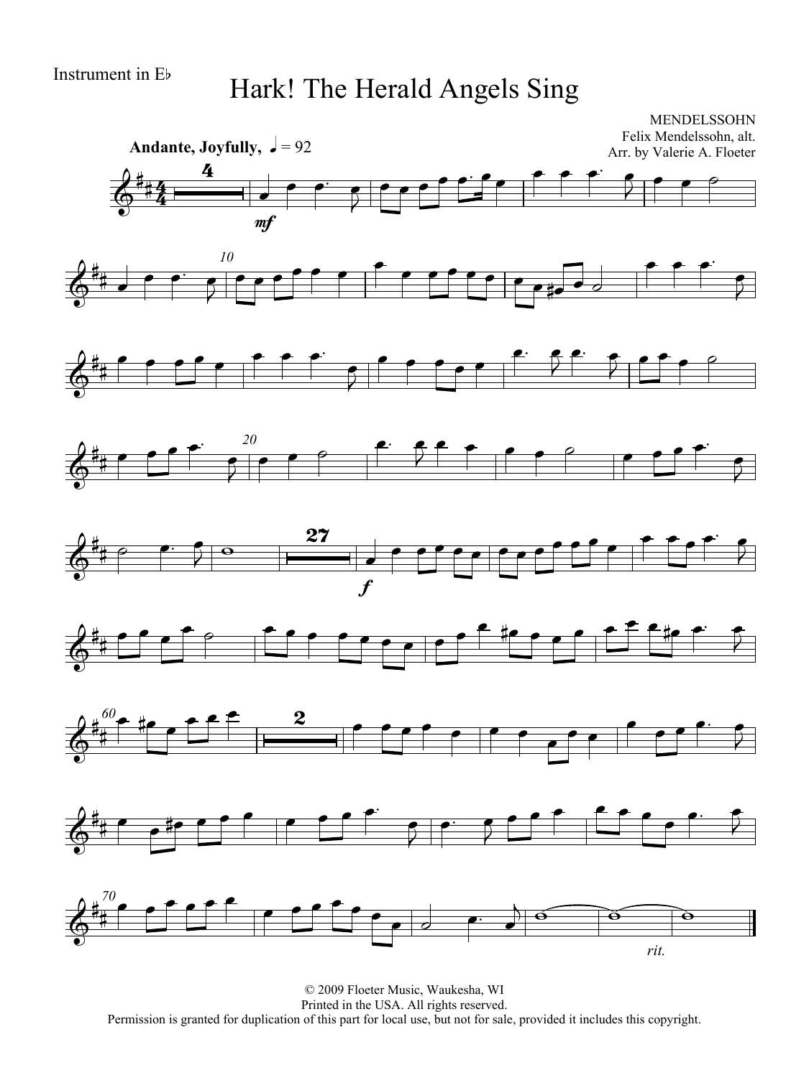# Instrument in Eb Hark! The Herald Angels Sing

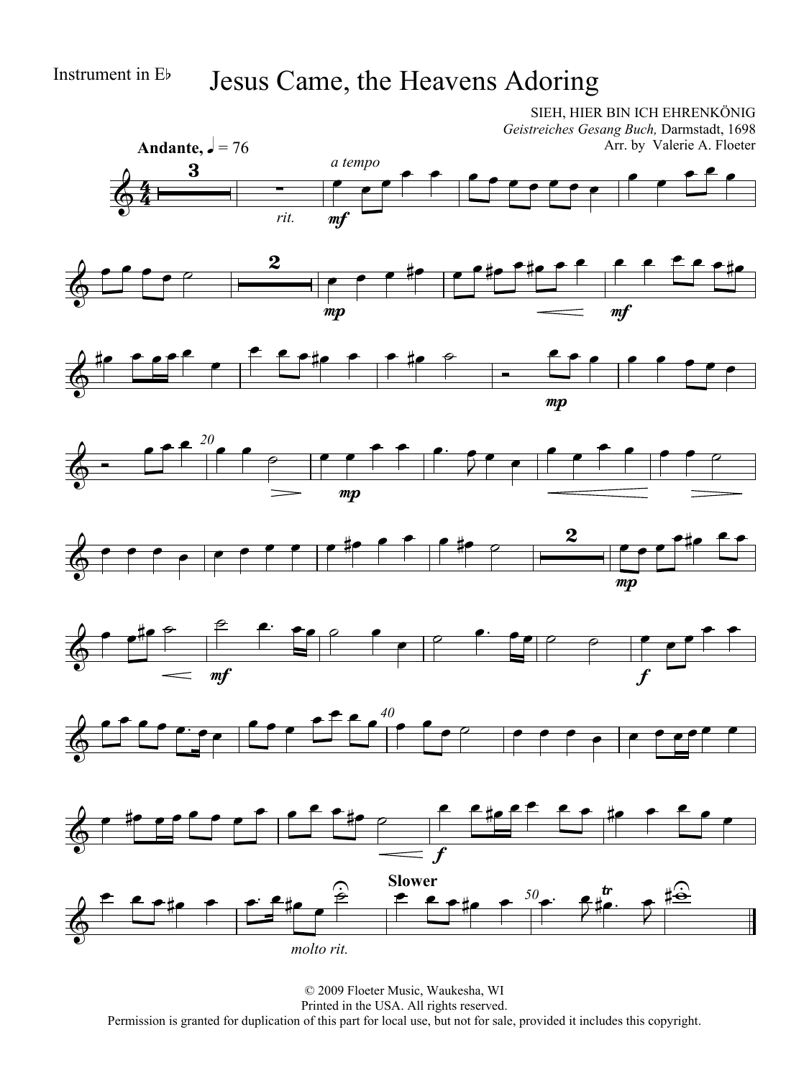### Instrument in Eb Jesus Came, the Heavens Adoring















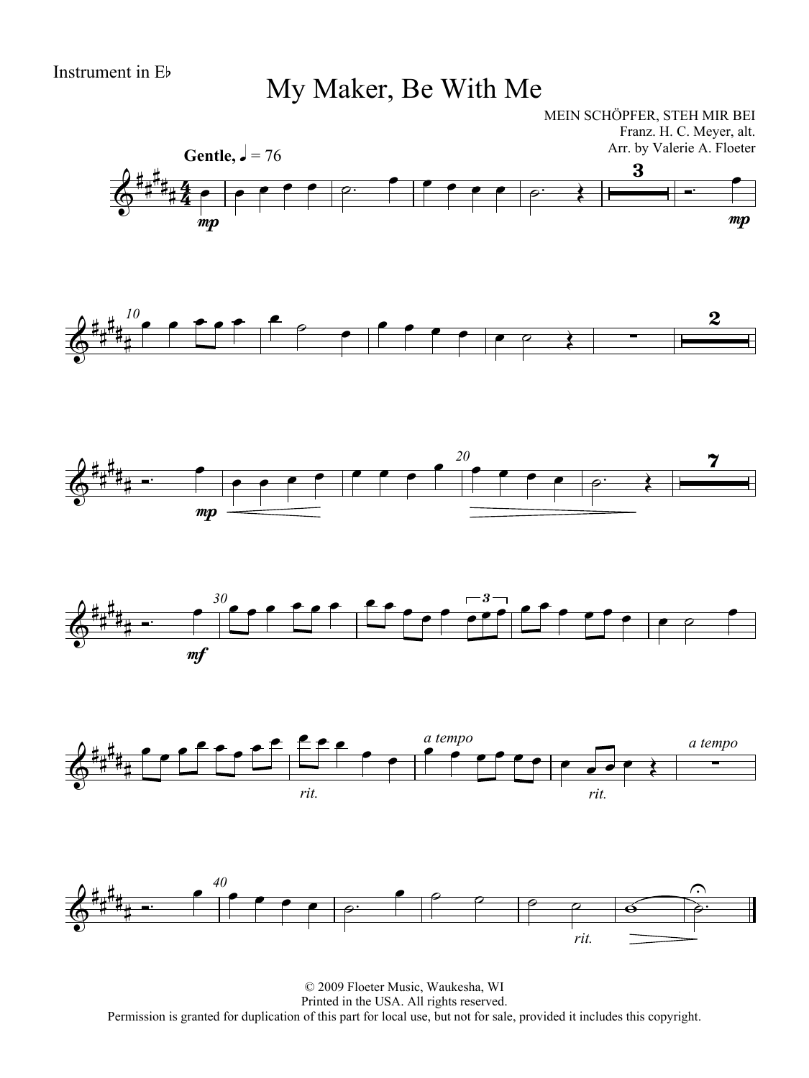My Maker, Be With Me

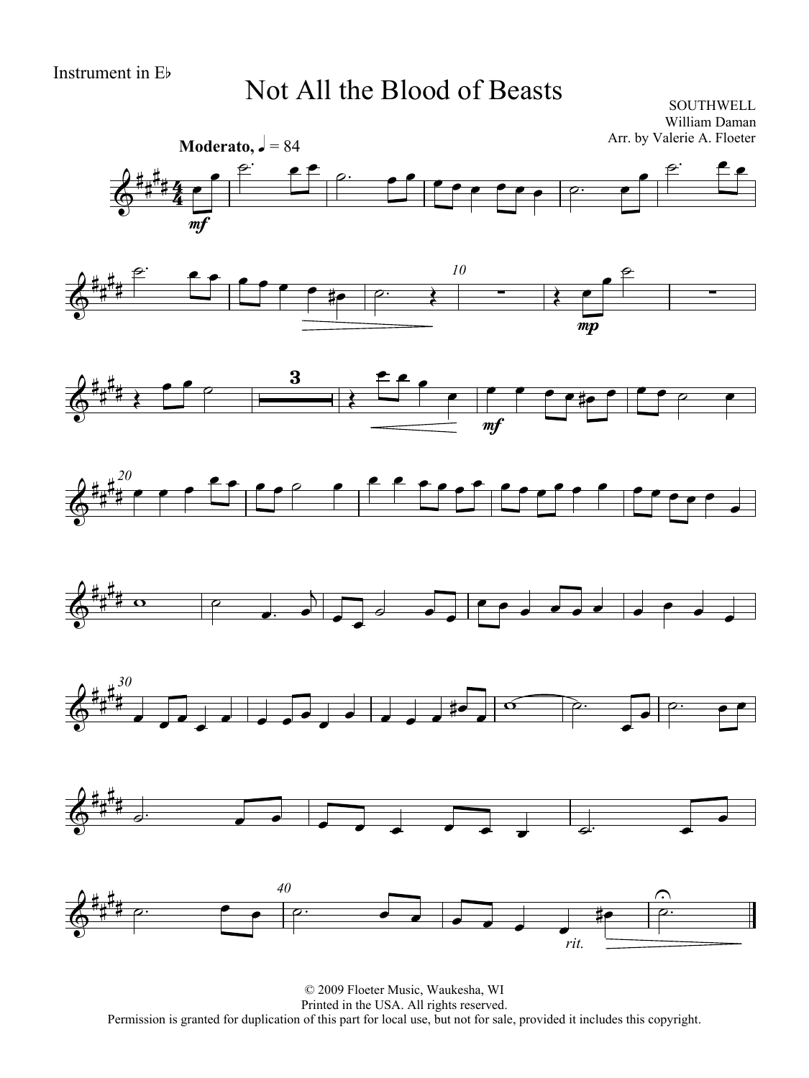### Not All the Blood of Beasts

SOUTHWELL William Daman

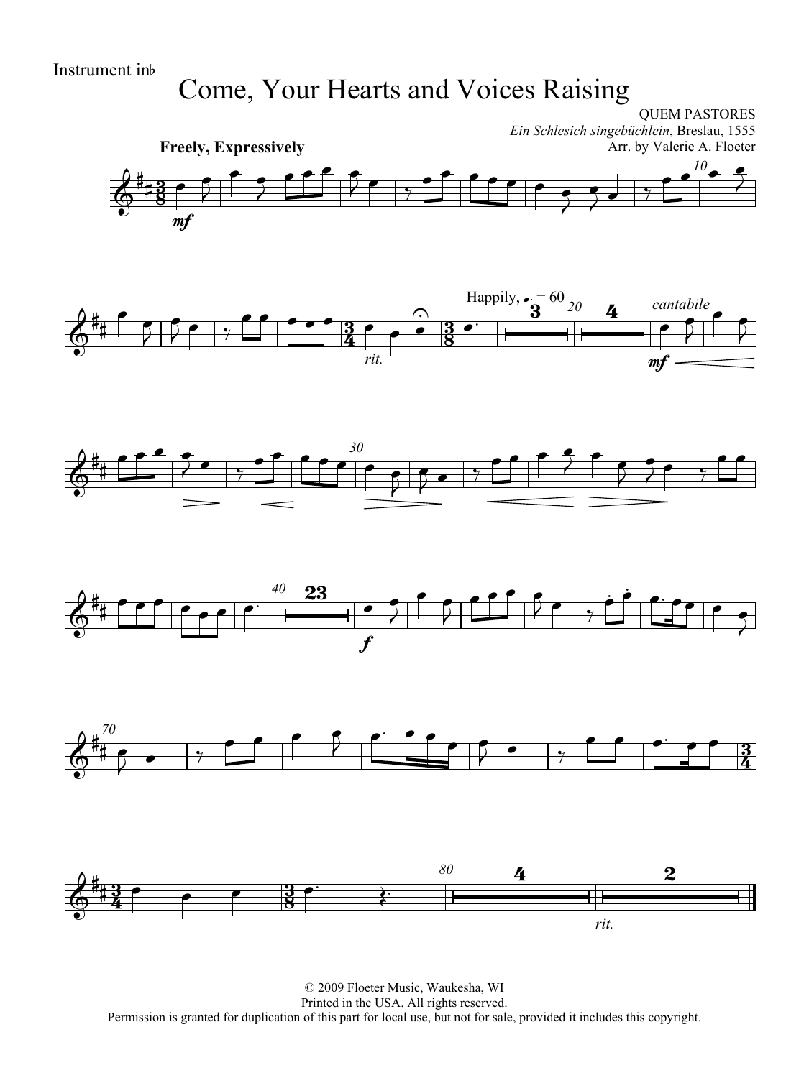## Come, Your Hearts and Voices Raising

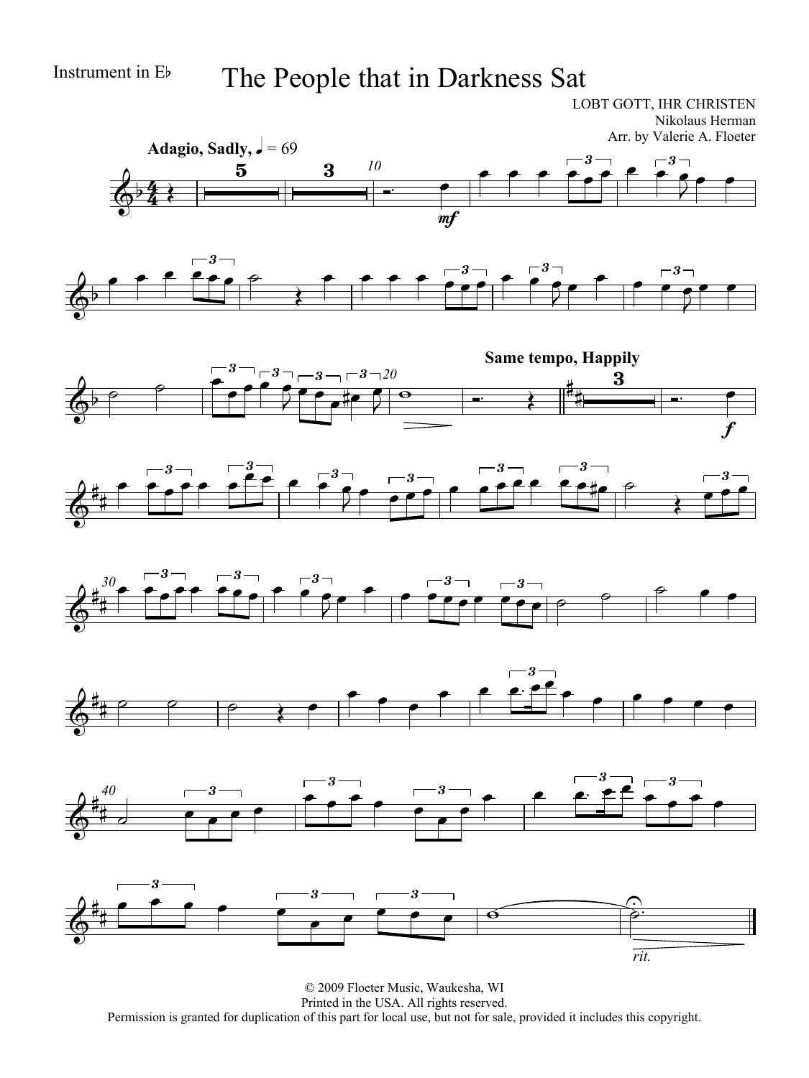### Instrument in Eb The People that in Darkness Sat

LOBT GOTT, IHR CHRISTEN Nikolaus Herman Arr. by Valerie A. Floeter